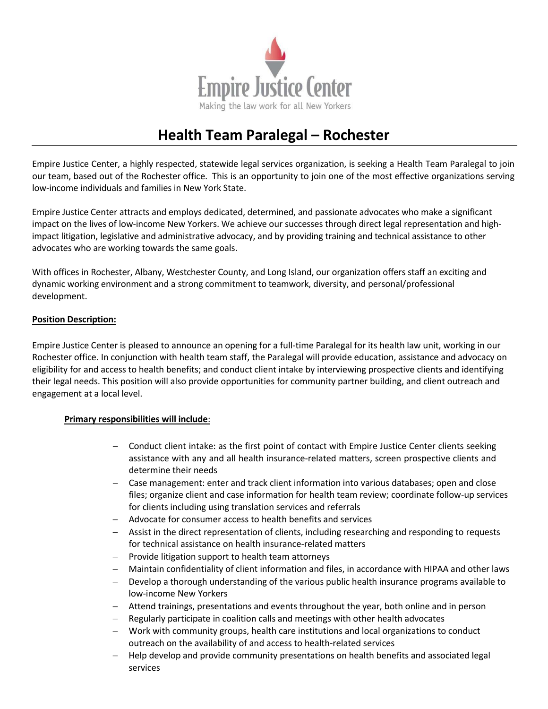

## **Health Team Paralegal – Rochester**

Empire Justice Center, a highly respected, statewide legal services organization, is seeking a Health Team Paralegal to join our team, based out of the Rochester office. This is an opportunity to join one of the most effective organizations serving low‐income individuals and families in New York State.

Empire Justice Center attracts and employs dedicated, determined, and passionate advocates who make a significant impact on the lives of low-income New Yorkers. We achieve our successes through direct legal representation and highimpact litigation, legislative and administrative advocacy, and by providing training and technical assistance to other advocates who are working towards the same goals.

With offices in Rochester, Albany, Westchester County, and Long Island, our organization offers staff an exciting and dynamic working environment and a strong commitment to teamwork, diversity, and personal/professional development.

## **Position Description:**

Empire Justice Center is pleased to announce an opening for a full‐time Paralegal for its health law unit, working in our Rochester office. In conjunction with health team staff, the Paralegal will provide education, assistance and advocacy on eligibility for and access to health benefits; and conduct client intake by interviewing prospective clients and identifying their legal needs. This position will also provide opportunities for community partner building, and client outreach and engagement at a local level.

## **Primary responsibilities will include**:

- Conduct client intake: as the first point of contact with Empire Justice Center clients seeking assistance with any and all health insurance‐related matters, screen prospective clients and determine their needs
- Case management: enter and track client information into various databases; open and close files; organize client and case information for health team review; coordinate follow‐up services for clients including using translation services and referrals
- Advocate for consumer access to health benefits and services
- Assist in the direct representation of clients, including researching and responding to requests for technical assistance on health insurance‐related matters
- $-$  Provide litigation support to health team attorneys
- Maintain confidentiality of client information and files, in accordance with HIPAA and other laws
- Develop a thorough understanding of the various public health insurance programs available to low‐income New Yorkers
- Attend trainings, presentations and events throughout the year, both online and in person
- Regularly participate in coalition calls and meetings with other health advocates
- Work with community groups, health care institutions and local organizations to conduct outreach on the availability of and access to health‐related services
- Help develop and provide community presentations on health benefits and associated legal services